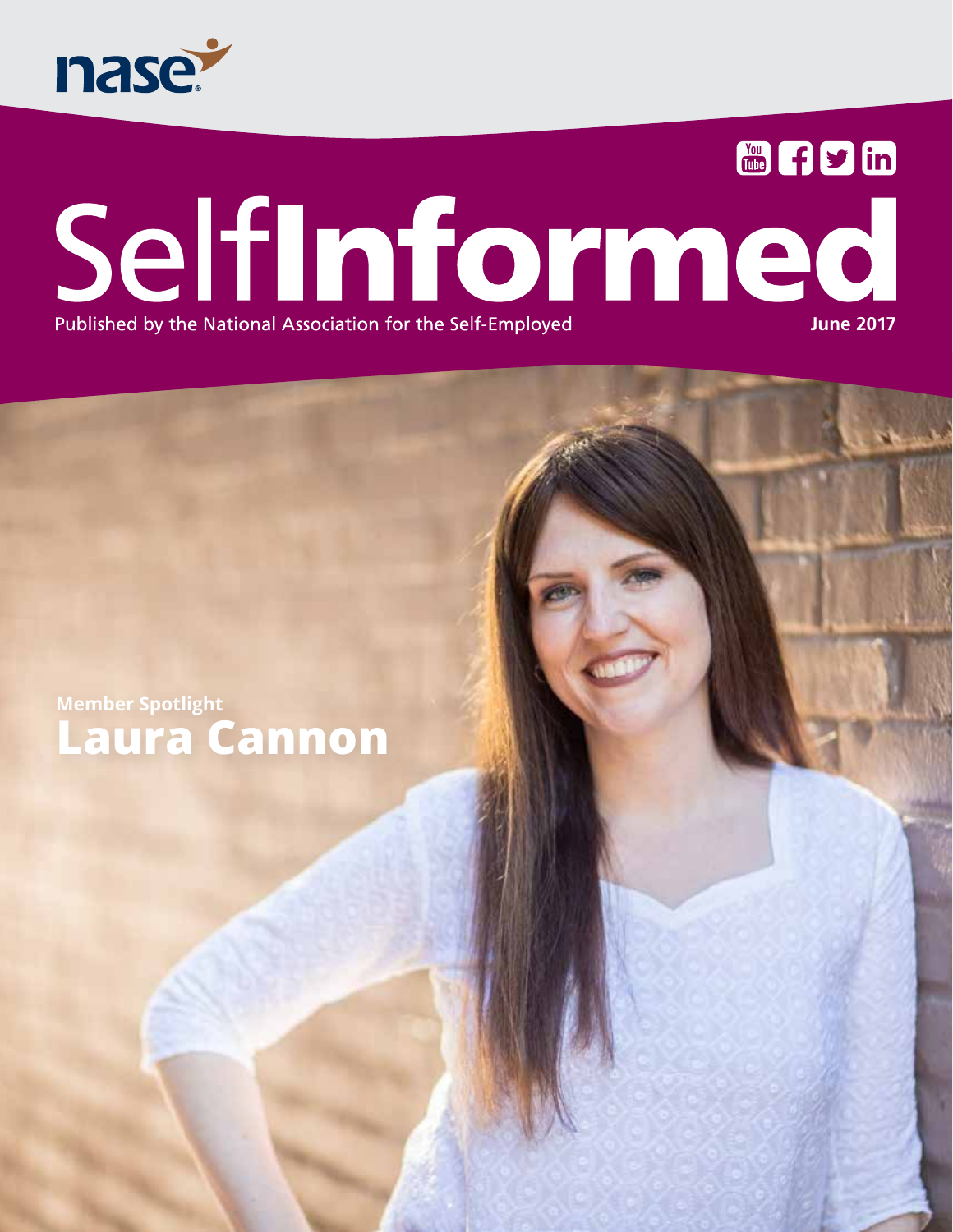

### **TO Fyin June 2017**<br>Published by the National Association for the Self-Employed Published by the National Association for the Self-Employed

### **Member Spotlight Laura Cannon**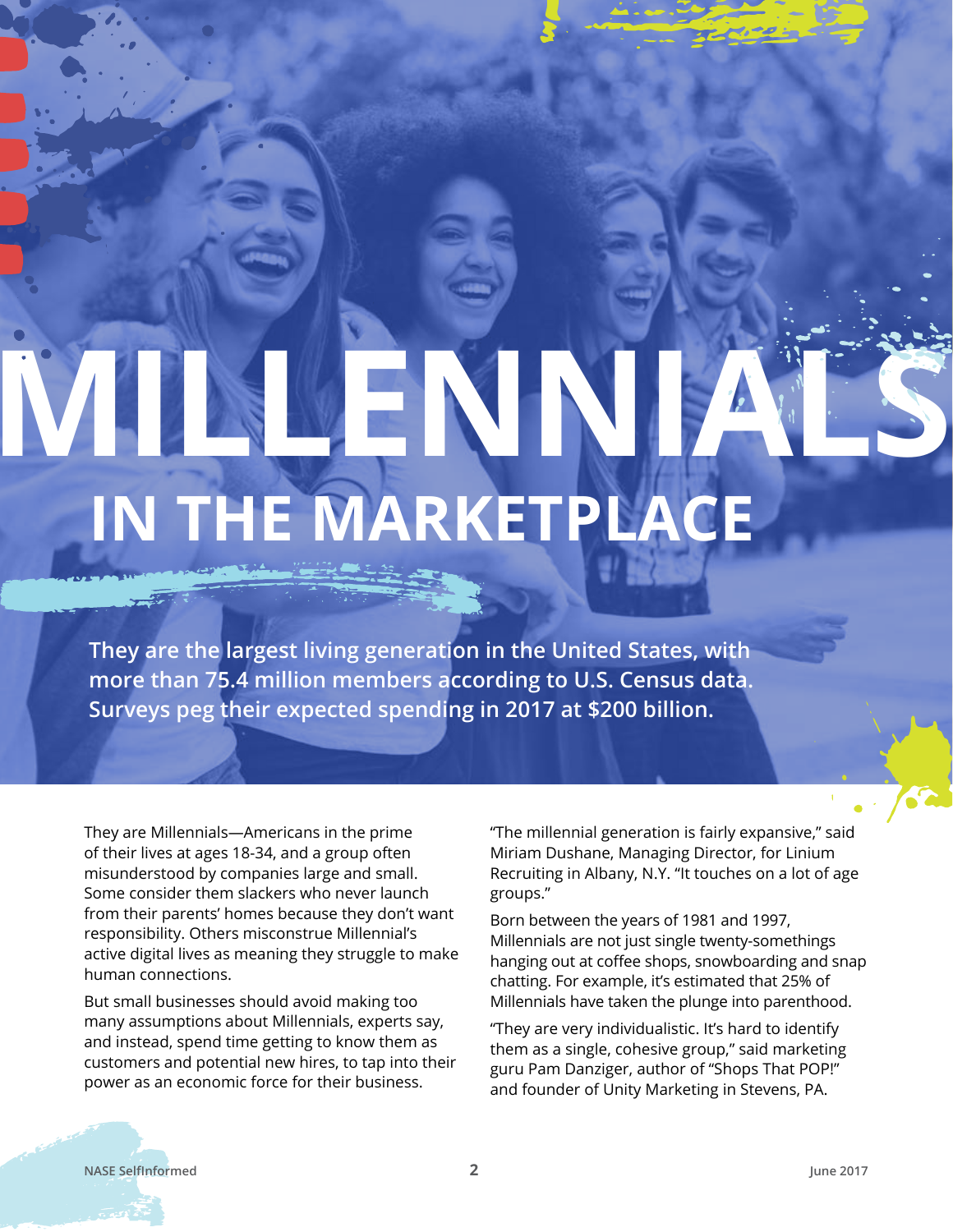# **MILLENNIALS IN THE MARKETPLACE**

**They are the largest living generation in the United States, with more than 75.4 million members according to U.S. Census data. Surveys peg their expected spending in 2017 at \$200 billion.** 

They are Millennials—Americans in the prime of their lives at ages 18-34, and a group often misunderstood by companies large and small. Some consider them slackers who never launch from their parents' homes because they don't want responsibility. Others misconstrue Millennial's active digital lives as meaning they struggle to make human connections.

But small businesses should avoid making too many assumptions about Millennials, experts say, and instead, spend time getting to know them as customers and potential new hires, to tap into their power as an economic force for their business.

"The millennial generation is fairly expansive," said Miriam Dushane, Managing Director, for Linium Recruiting in Albany, N.Y. "It touches on a lot of age groups."

Born between the years of 1981 and 1997, Millennials are not just single twenty-somethings hanging out at coffee shops, snowboarding and snap chatting. For example, it's estimated that 25% of Millennials have taken the plunge into parenthood.

"They are very individualistic. It's hard to identify them as a single, cohesive group," said marketing guru Pam Danziger, author of "Shops That POP!" and founder of Unity Marketing in Stevens, PA.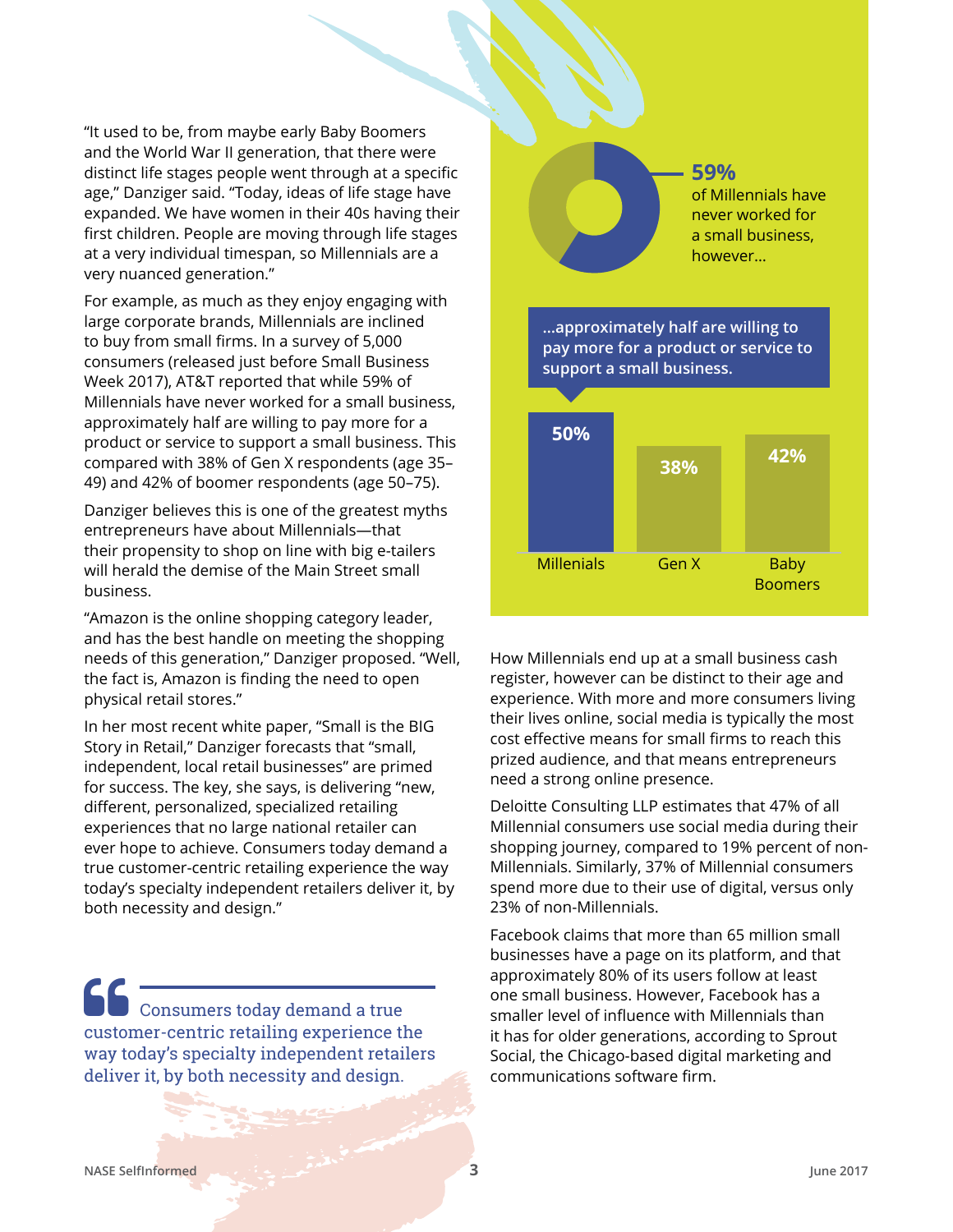"It used to be, from maybe early Baby Boomers and the World War II generation, that there were distinct life stages people went through at a specific age," Danziger said. "Today, ideas of life stage have expanded. We have women in their 40s having their first children. People are moving through life stages at a very individual timespan, so Millennials are a very nuanced generation."

For example, as much as they enjoy engaging with large corporate brands, Millennials are inclined to buy from small firms. In a survey of 5,000 consumers (released just before Small Business Week 2017), AT&T reported that while 59% of Millennials have never worked for a small business, approximately half are willing to pay more for a product or service to support a small business. This compared with 38% of Gen X respondents (age 35– 49) and 42% of boomer respondents (age 50–75).

Danziger believes this is one of the greatest myths entrepreneurs have about Millennials—that their propensity to shop on line with big e-tailers will herald the demise of the Main Street small business.

"Amazon is the online shopping category leader, and has the best handle on meeting the shopping needs of this generation," Danziger proposed. "Well, the fact is, Amazon is finding the need to open physical retail stores."

In her most recent white paper, "Small is the BIG Story in Retail," Danziger forecasts that "small, independent, local retail businesses" are primed for success. The key, she says, is delivering "new, different, personalized, specialized retailing experiences that no large national retailer can ever hope to achieve. Consumers today demand a true customer-centric retailing experience the way today's specialty independent retailers deliver it, by both necessity and design."

 Consumers today demand a true customer-centric retailing experience the way today's specialty independent retailers deliver it, by both necessity and design.

### **59%**

of Millennials have never worked for a small business, however…

**…approximately half are willing to pay more for a product or service to support a small business.**



How Millennials end up at a small business cash register, however can be distinct to their age and experience. With more and more consumers living their lives online, social media is typically the most cost effective means for small firms to reach this prized audience, and that means entrepreneurs need a strong online presence.

Deloitte Consulting LLP estimates that 47% of all Millennial consumers use social media during their shopping journey, compared to 19% percent of non-Millennials. Similarly, 37% of Millennial consumers spend more due to their use of digital, versus only 23% of non-Millennials.

Facebook claims that more than 65 million small businesses have a page on its platform, and that approximately 80% of its users follow at least one small business. However, Facebook has a smaller level of influence with Millennials than it has for older generations, according to Sprout Social, the Chicago-based digital marketing and communications software firm.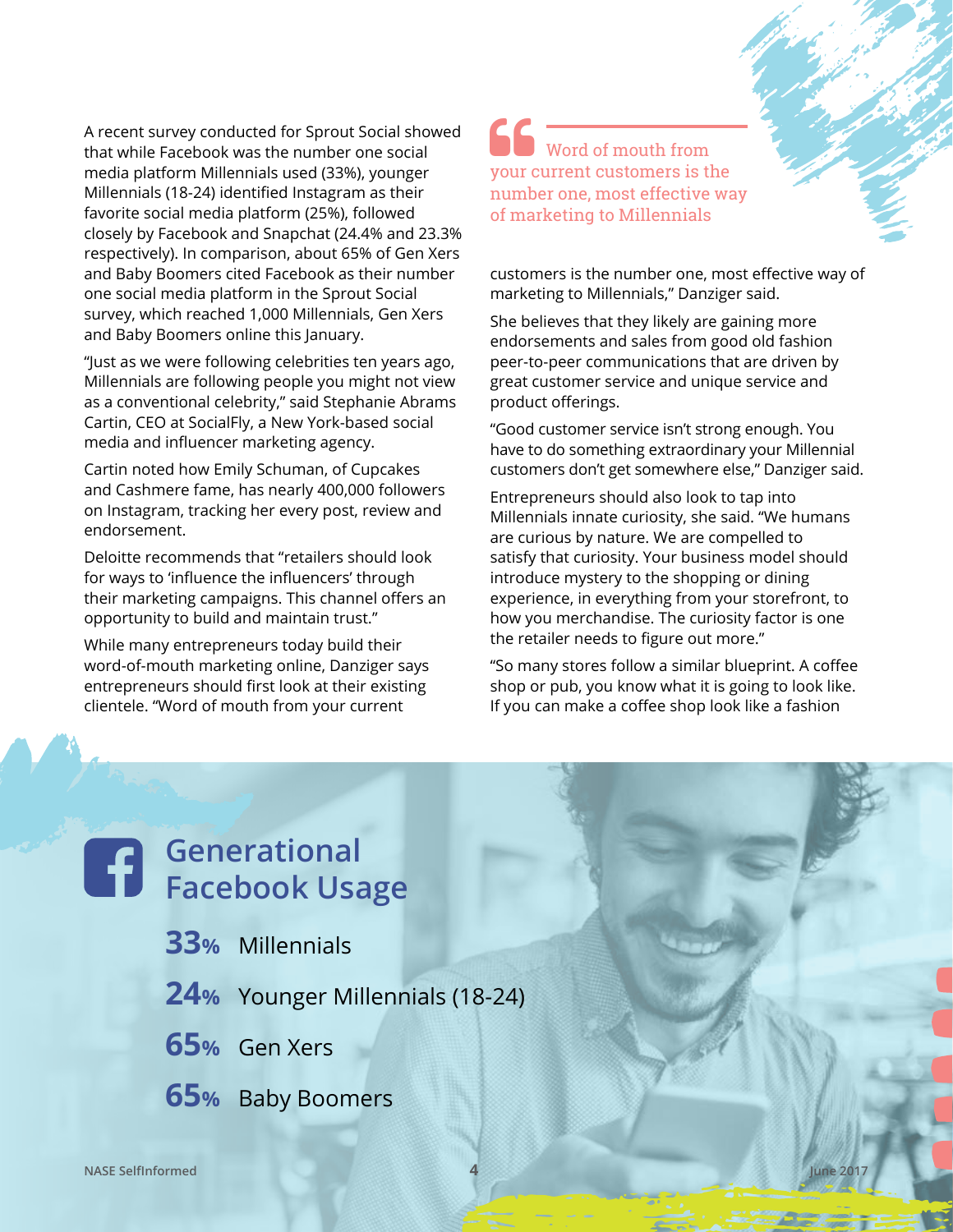A recent survey conducted for Sprout Social showed that while Facebook was the number one social media platform Millennials used (33%), younger Millennials (18-24) identified Instagram as their favorite social media platform (25%), followed closely by Facebook and Snapchat (24.4% and 23.3% respectively). In comparison, about 65% of Gen Xers and Baby Boomers cited Facebook as their number one social media platform in the Sprout Social survey, which reached 1,000 Millennials, Gen Xers and Baby Boomers online this January.

"Just as we were following celebrities ten years ago, Millennials are following people you might not view as a conventional celebrity," said Stephanie Abrams Cartin, CEO at SocialFly, a New York-based social media and influencer marketing agency.

Cartin noted how Emily Schuman, of Cupcakes and Cashmere fame, has nearly 400,000 followers on Instagram, tracking her every post, review and endorsement.

Deloitte recommends that "retailers should look for ways to 'influence the influencers' through their marketing campaigns. This channel offers an opportunity to build and maintain trust."

While many entrepreneurs today build their word-of-mouth marketing online, Danziger says entrepreneurs should first look at their existing clientele. "Word of mouth from your current

 Word of mouth from your current customers is the number one, most effective way of marketing to Millennials

customers is the number one, most effective way of marketing to Millennials," Danziger said.

She believes that they likely are gaining more endorsements and sales from good old fashion peer-to-peer communications that are driven by great customer service and unique service and product offerings.

"Good customer service isn't strong enough. You have to do something extraordinary your Millennial customers don't get somewhere else," Danziger said.

Entrepreneurs should also look to tap into Millennials innate curiosity, she said. "We humans are curious by nature. We are compelled to satisfy that curiosity. Your business model should introduce mystery to the shopping or dining experience, in everything from your storefront, to how you merchandise. The curiosity factor is one the retailer needs to figure out more."

"So many stores follow a similar blueprint. A coffee shop or pub, you know what it is going to look like. If you can make a coffee shop look like a fashion

### **Generational Facebook Usage 33%** Millennials **24%** Younger Millennials (18-24) **65%** Gen Xers **65%** Baby Boomers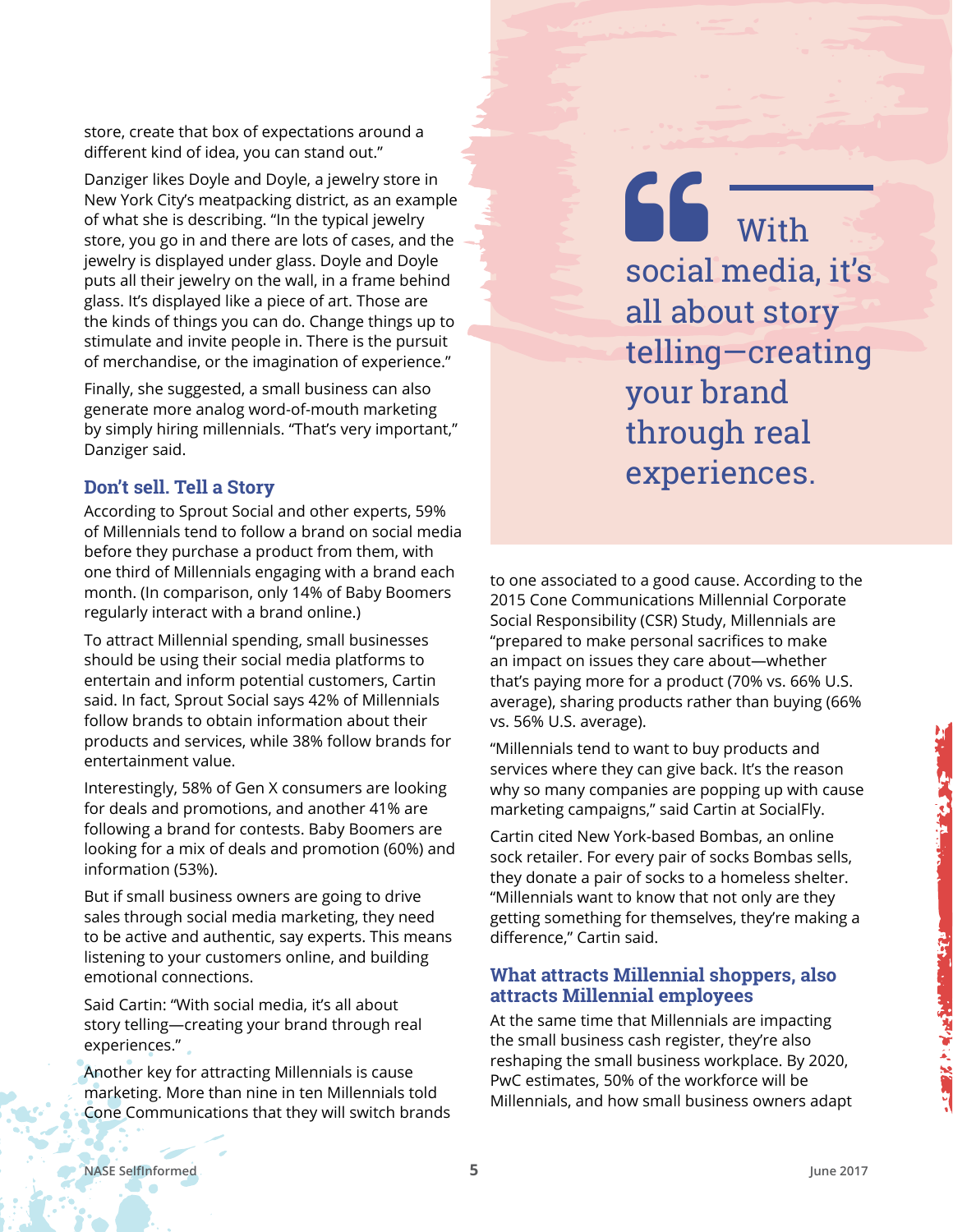store, create that box of expectations around a different kind of idea, you can stand out."

Danziger likes Doyle and Doyle, a jewelry store in New York City's meatpacking district, as an example of what she is describing. "In the typical jewelry store, you go in and there are lots of cases, and the jewelry is displayed under glass. Doyle and Doyle puts all their jewelry on the wall, in a frame behind glass. It's displayed like a piece of art. Those are the kinds of things you can do. Change things up to stimulate and invite people in. There is the pursuit of merchandise, or the imagination of experience."

Finally, she suggested, a small business can also generate more analog word-of-mouth marketing by simply hiring millennials. "That's very important," Danziger said.

### **Don't sell. Tell a Story**

According to Sprout Social and other experts, 59% of Millennials tend to follow a brand on social media before they purchase a product from them, with one third of Millennials engaging with a brand each month. (In comparison, only 14% of Baby Boomers regularly interact with a brand online.)

To attract Millennial spending, small businesses should be using their social media platforms to entertain and inform potential customers, Cartin said. In fact, Sprout Social says 42% of Millennials follow brands to obtain information about their products and services, while 38% follow brands for entertainment value.

Interestingly, 58% of Gen X consumers are looking for deals and promotions, and another 41% are following a brand for contests. Baby Boomers are looking for a mix of deals and promotion (60%) and information (53%).

But if small business owners are going to drive sales through social media marketing, they need to be active and authentic, say experts. This means listening to your customers online, and building emotional connections.

Said Cartin: "With social media, it's all about story telling—creating your brand through real experiences."

Another key for attracting Millennials is cause marketing. More than nine in ten Millennials told Cone Communications that they will switch brands 66 with social media, it's all about story telling—creating your brand through real experiences.

to one associated to a good cause. According to the 2015 Cone Communications Millennial Corporate Social Responsibility (CSR) Study, Millennials are "prepared to make personal sacrifices to make an impact on issues they care about—whether that's paying more for a product (70% vs. 66% U.S. average), sharing products rather than buying (66% vs. 56% U.S. average).

"Millennials tend to want to buy products and services where they can give back. It's the reason why so many companies are popping up with cause marketing campaigns," said Cartin at SocialFly.

Cartin cited New York-based Bombas, an online sock retailer. For every pair of socks Bombas sells, they donate a pair of socks to a homeless shelter. "Millennials want to know that not only are they getting something for themselves, they're making a difference," Cartin said.

### **What attracts Millennial shoppers, also attracts Millennial employees**

At the same time that Millennials are impacting the small business cash register, they're also reshaping the small business workplace. By 2020, PwC estimates, 50% of the workforce will be Millennials, and how small business owners adapt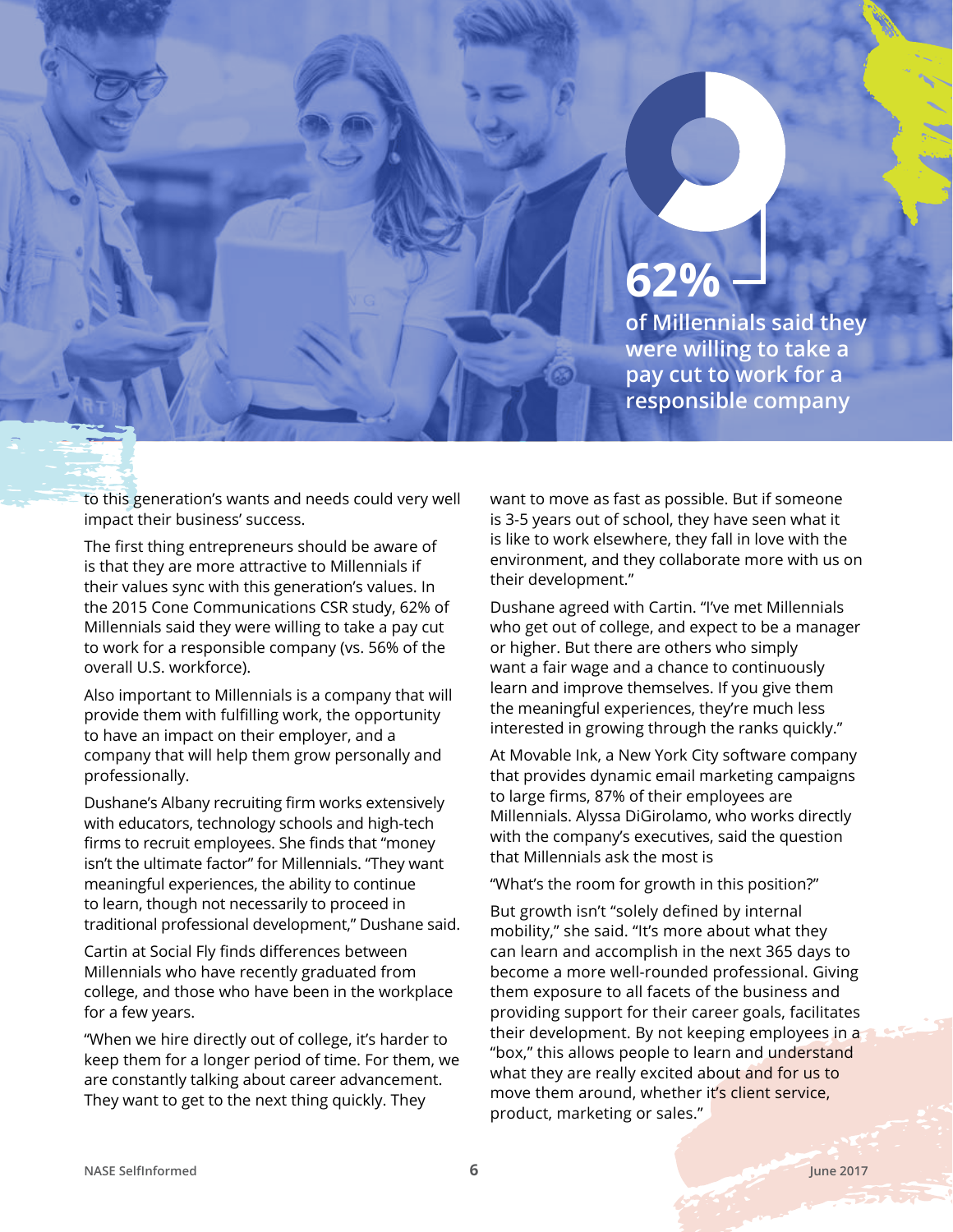### **62%**

**of Millennials said they were willing to take a pay cut to work for a responsible company**

to this generation's wants and needs could very well impact their business' success.

The first thing entrepreneurs should be aware of is that they are more attractive to Millennials if their values sync with this generation's values. In the 2015 Cone Communications CSR study, 62% of Millennials said they were willing to take a pay cut to work for a responsible company (vs. 56% of the overall U.S. workforce).

Also important to Millennials is a company that will provide them with fulfilling work, the opportunity to have an impact on their employer, and a company that will help them grow personally and professionally.

Dushane's Albany recruiting firm works extensively with educators, technology schools and high-tech firms to recruit employees. She finds that "money isn't the ultimate factor" for Millennials. "They want meaningful experiences, the ability to continue to learn, though not necessarily to proceed in traditional professional development," Dushane said.

Cartin at Social Fly finds differences between Millennials who have recently graduated from college, and those who have been in the workplace for a few years.

"When we hire directly out of college, it's harder to keep them for a longer period of time. For them, we are constantly talking about career advancement. They want to get to the next thing quickly. They

want to move as fast as possible. But if someone is 3-5 years out of school, they have seen what it is like to work elsewhere, they fall in love with the environment, and they collaborate more with us on their development."

Dushane agreed with Cartin. "I've met Millennials who get out of college, and expect to be a manager or higher. But there are others who simply want a fair wage and a chance to continuously learn and improve themselves. If you give them the meaningful experiences, they're much less interested in growing through the ranks quickly."

At Movable Ink, a New York City software company that provides dynamic email marketing campaigns to large firms, 87% of their employees are Millennials. Alyssa DiGirolamo, who works directly with the company's executives, said the question that Millennials ask the most is

"What's the room for growth in this position?"

But growth isn't "solely defined by internal mobility," she said. "It's more about what they can learn and accomplish in the next 365 days to become a more well-rounded professional. Giving them exposure to all facets of the business and providing support for their career goals, facilitates their development. By not keeping employees in a "box," this allows people to learn and understand what they are really excited about and for us to move them around, whether it's client service, product, marketing or sales."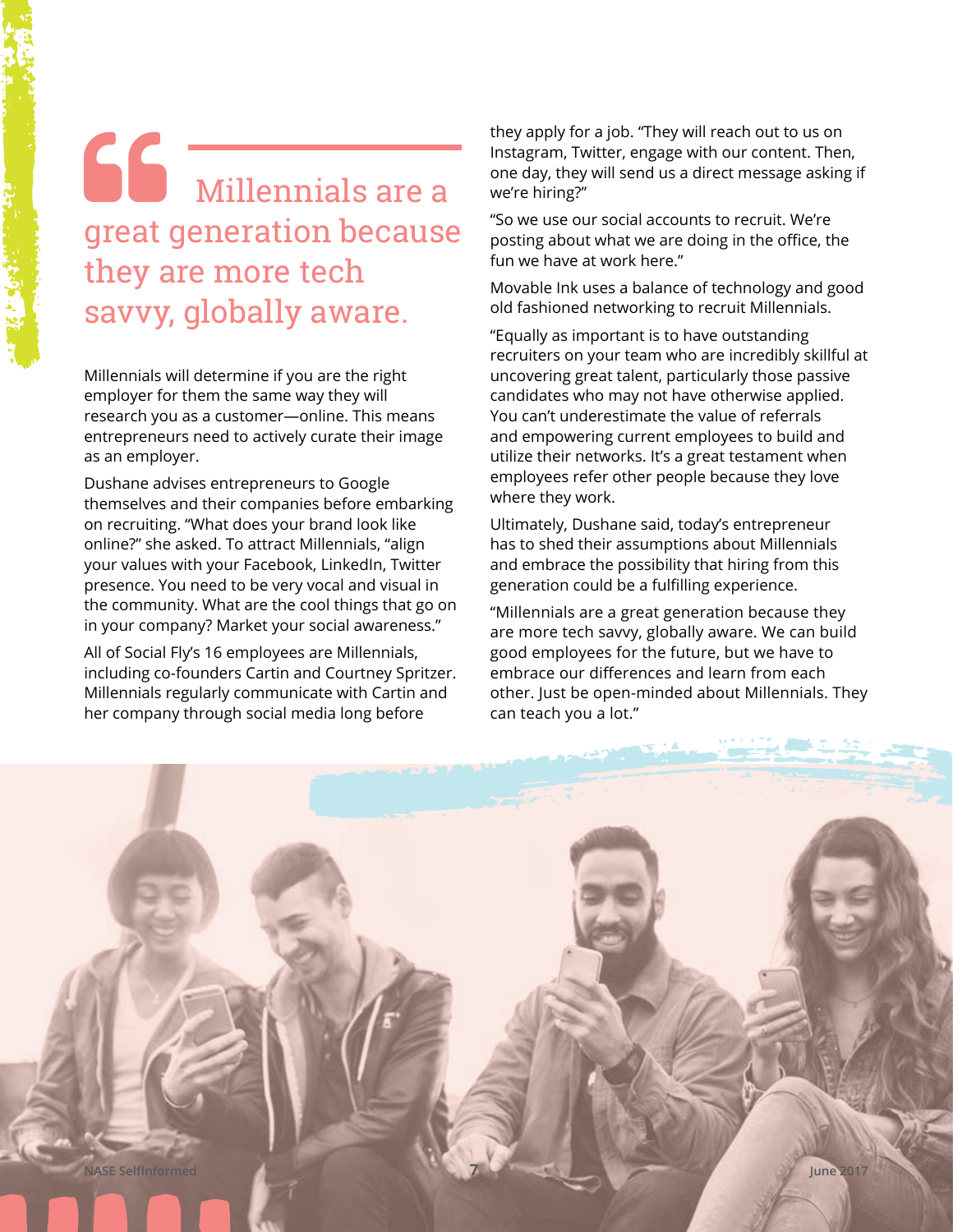### $66$  Millennials are a great generation because they are more tech savvy, globally aware.

Millennials will determine if you are the right employer for them the same way they will research you as a customer—online. This means entrepreneurs need to actively curate their image as an employer.

Dushane advises entrepreneurs to Google themselves and their companies before embarking on recruiting. "What does your brand look like online?" she asked. To attract Millennials, "align your values with your Facebook, LinkedIn, Twitter presence. You need to be very vocal and visual in the community. What are the cool things that go on in your company? Market your social awareness."

All of Social Fly's 16 employees are Millennials, including co-founders Cartin and Courtney Spritzer. Millennials regularly communicate with Cartin and her company through social media long before

they apply for a job. "They will reach out to us on Instagram, Twitter, engage with our content. Then, one day, they will send us a direct message asking if we're hiring?"

"So we use our social accounts to recruit. We're posting about what we are doing in the office, the fun we have at work here."

Movable Ink uses a balance of technology and good old fashioned networking to recruit Millennials.

"Equally as important is to have outstanding recruiters on your team who are incredibly skillful at uncovering great talent, particularly those passive candidates who may not have otherwise applied. You can't underestimate the value of referrals and empowering current employees to build and utilize their networks. It's a great testament when employees refer other people because they love where they work.

Ultimately, Dushane said, today's entrepreneur has to shed their assumptions about Millennials and embrace the possibility that hiring from this generation could be a fulfilling experience.

"Millennials are a great generation because they are more tech savvy, globally aware. We can build good employees for the future, but we have to embrace our differences and learn from each other. Just be open-minded about Millennials. They can teach you a lot."

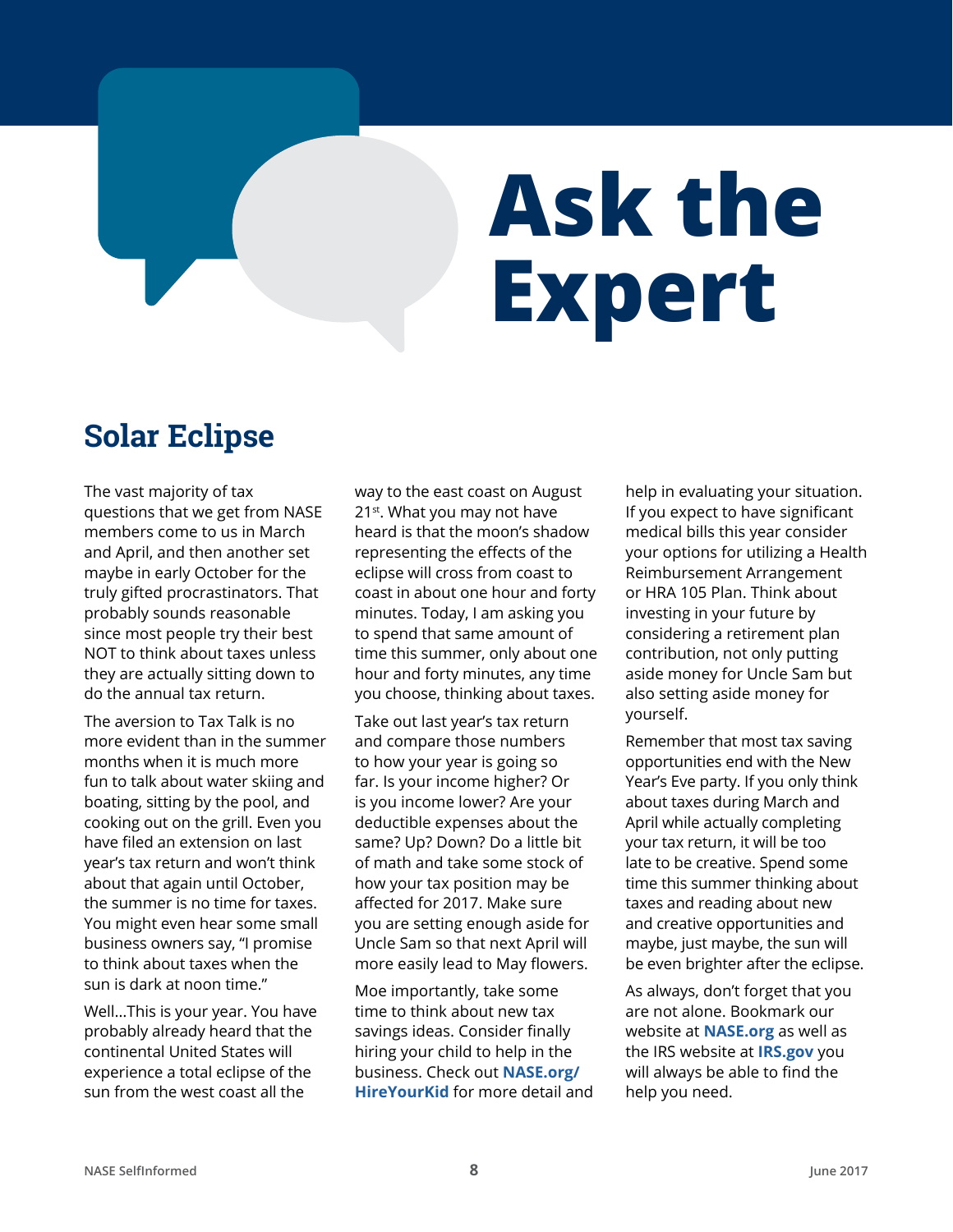# **Ask the Expert**

### **Solar Eclipse**

The vast majority of tax questions that we get from NASE members come to us in March and April, and then another set maybe in early October for the truly gifted procrastinators. That probably sounds reasonable since most people try their best NOT to think about taxes unless they are actually sitting down to do the annual tax return.

The aversion to Tax Talk is no more evident than in the summer months when it is much more fun to talk about water skiing and boating, sitting by the pool, and cooking out on the grill. Even you have filed an extension on last year's tax return and won't think about that again until October, the summer is no time for taxes. You might even hear some small business owners say, "I promise to think about taxes when the sun is dark at noon time."

Well…This is your year. You have probably already heard that the continental United States will experience a total eclipse of the sun from the west coast all the

way to the east coast on August 21<sup>st</sup>. What you may not have heard is that the moon's shadow representing the effects of the eclipse will cross from coast to coast in about one hour and forty minutes. Today, I am asking you to spend that same amount of time this summer, only about one hour and forty minutes, any time you choose, thinking about taxes.

Take out last year's tax return and compare those numbers to how your year is going so far. Is your income higher? Or is you income lower? Are your deductible expenses about the same? Up? Down? Do a little bit of math and take some stock of how your tax position may be affected for 2017. Make sure you are setting enough aside for Uncle Sam so that next April will more easily lead to May flowers.

Moe importantly, take some time to think about new tax savings ideas. Consider finally hiring your child to help in the business. Check out **[NASE.org/](http://www.NASE.org/HireYourKid) [HireYourKid](http://www.NASE.org/HireYourKid)** for more detail and

help in evaluating your situation. If you expect to have significant medical bills this year consider your options for utilizing a Health Reimbursement Arrangement or HRA 105 Plan. Think about investing in your future by considering a retirement plan contribution, not only putting aside money for Uncle Sam but also setting aside money for yourself.

Remember that most tax saving opportunities end with the New Year's Eve party. If you only think about taxes during March and April while actually completing your tax return, it will be too late to be creative. Spend some time this summer thinking about taxes and reading about new and creative opportunities and maybe, just maybe, the sun will be even brighter after the eclipse.

As always, don't forget that you are not alone. Bookmark our website at **[NASE.org](http://www.NASE.org)** as well as the IRS website at **[IRS.gov](http://www.IRS.gov)** you will always be able to find the help you need.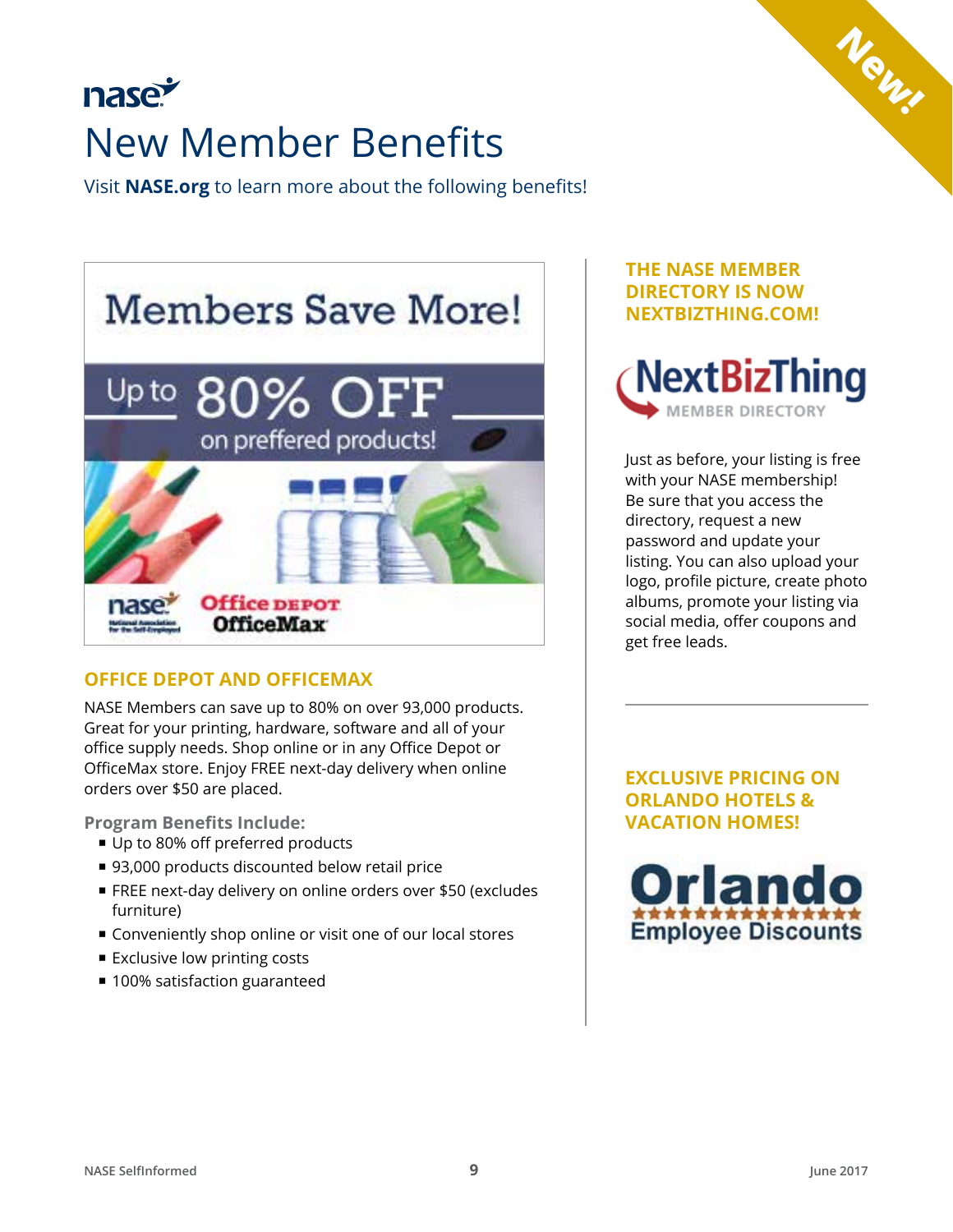### nase New Member Benefits

Visit **[NASE.org](http://www.NASE.org)** to learn more about the following benefits!



### **[OFFICE DEPOT AND OFFICEMAX](http://www.nase.org/Membership/Benefits/Office_Depot.aspx)**

NASE Members can save up to 80% on over 93,000 products. Great for your printing, hardware, software and all of your office supply needs. Shop online or in any Office Depot or OfficeMax store. Enjoy FREE next-day delivery when online orders over \$50 are placed.

**Program Benefits Include:**

- Up to 80% off preferred products
- 93,000 products discounted below retail price
- FREE next-day delivery on online orders over \$50 (excludes furniture)
- Conveniently shop online or visit one of our local stores
- **Exclusive low printing costs**
- 100% satisfaction guaranteed

### **THE NASE MEMBER DIRECTORY IS NOW [NEXTBIZTHING.COM!](http://www.NextBizThing.com)**



**New!**

Just as before, your listing is free with your NASE membership! Be sure that you access the directory, request a new password and update your listing. You can also upload your logo, profile picture, create photo albums, promote your listing via social media, offer coupons and get free leads.

**EXCLUSIVE PRICING ON ORLANDO HOTELS & VACATION HOMES!**

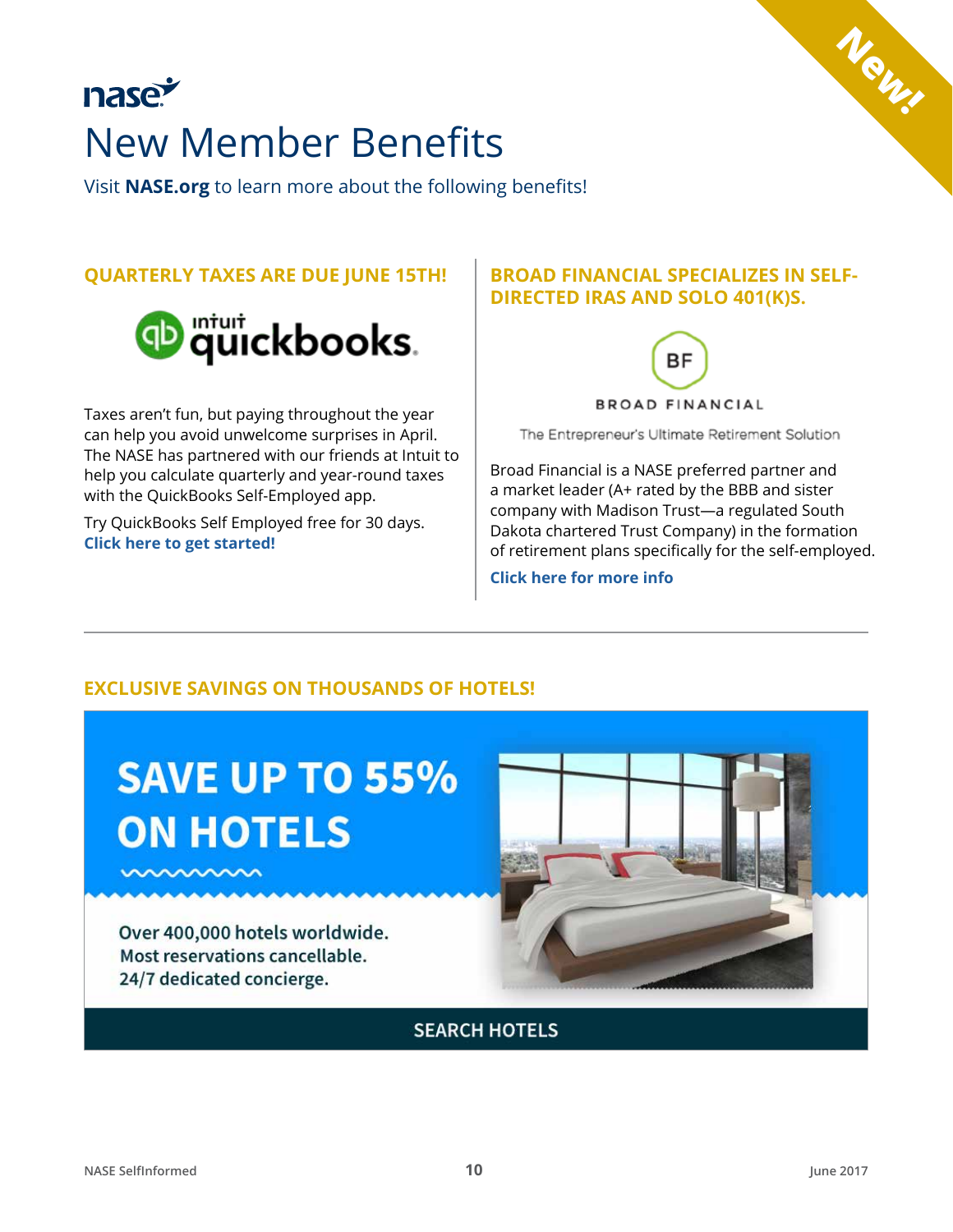### nase New Member Benefits

Visit **[NASE.org](http://www.NASE.org)** to learn more about the following benefits!

### **Q[UARTERLY TAXES ARE DUE JUNE 15TH](https://selfemployed.intuit.com/nase?utm_source=nase&cid=par_nase_US_aff_QBSE)!**



Taxes aren't fun, but paying throughout the year can help you avoid unwelcome surprises in April. The NASE has partnered with our friends at Intuit to help you calculate quarterly and year-round taxes with the QuickBooks Self-Employed app.

Try QuickBooks Self Employed free for 30 days. **[Click here to get started!](https://selfemployed.intuit.com/nase?utm_source=nase&cid=par_nase_US_aff_QBSE)**

### **BROAD FINANCIAL SPECIALIZES IN SELF-DIRECTED IRAS AND SOLO 401(K)S.**

**New!**



The Entrepreneur's Ultimate Retirement Solution

Broad Financial is a NASE preferred partner and a market leader (A+ rated by the BBB and sister company with Madison Trust—a regulated South Dakota chartered Trust Company) in the formation of retirement plans specifically for the self-employed.

**[Click here for more info](https://www.broadfinancial.com/welcome-nase-members-4/)**

### **EXCLUSIVE SAVINGS ON THOUSANDS OF HOTELS!**

### **SAVE UP TO 55% ON HOTELS**

Over 400,000 hotels worldwide. Most reservations cancellable. 24/7 dedicated concierge.

mmmm



### **SEARCH HOTELS**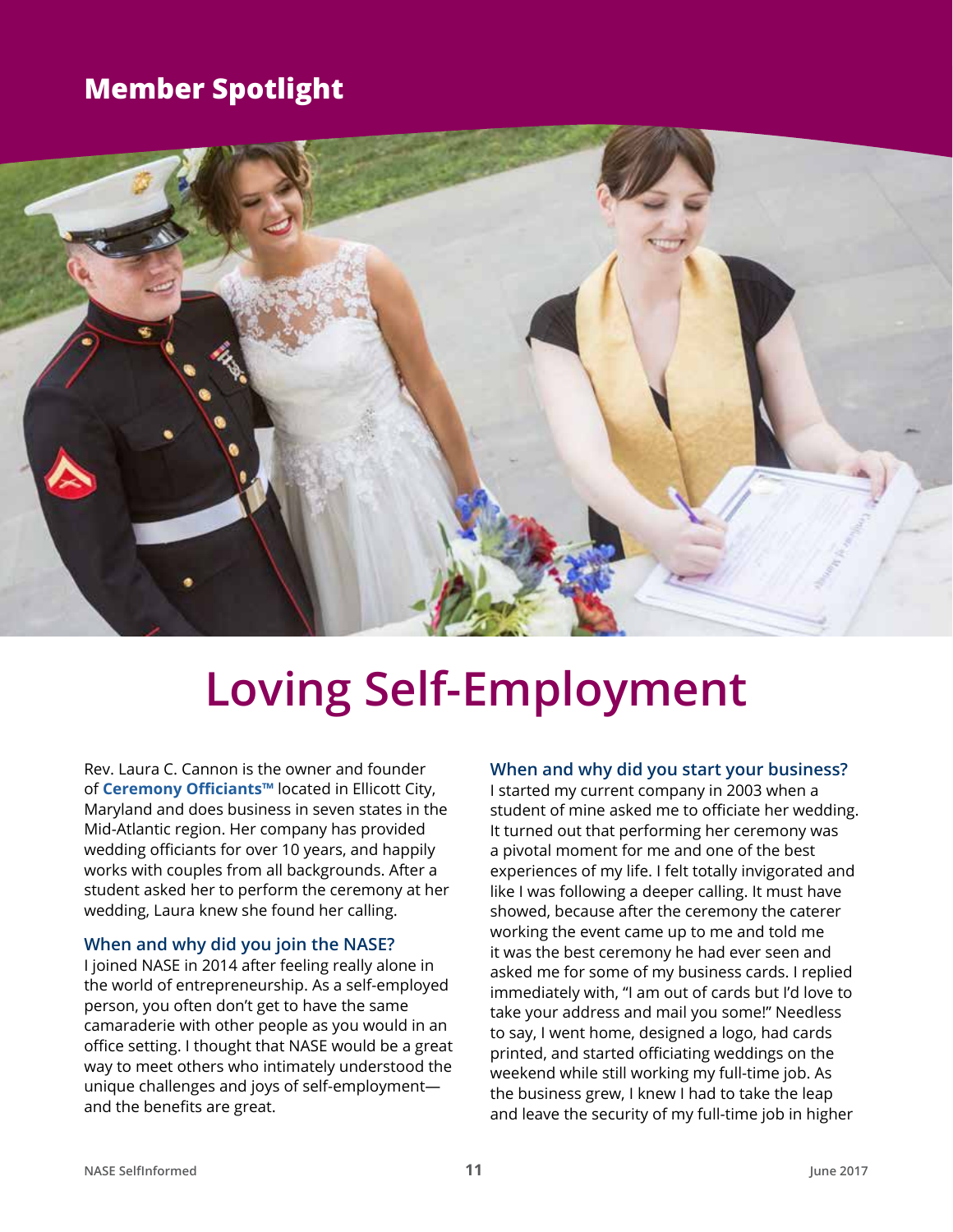### **Member Spotlight**



### **Loving Self-Employment**

Rev. Laura C. Cannon is the owner and founder of **[Ceremony Officiants™](http://ceremonyofficiants.com/)** located in Ellicott City, Maryland and does business in seven states in the Mid-Atlantic region. Her company has provided wedding officiants for over 10 years, and happily works with couples from all backgrounds. After a student asked her to perform the ceremony at her wedding, Laura knew she found her calling.

#### **When and why did you join the NASE?**

I joined NASE in 2014 after feeling really alone in the world of entrepreneurship. As a self-employed person, you often don't get to have the same camaraderie with other people as you would in an office setting. I thought that NASE would be a great way to meet others who intimately understood the unique challenges and joys of self-employment and the benefits are great.

#### **When and why did you start your business?**

I started my current company in 2003 when a student of mine asked me to officiate her wedding. It turned out that performing her ceremony was a pivotal moment for me and one of the best experiences of my life. I felt totally invigorated and like I was following a deeper calling. It must have showed, because after the ceremony the caterer working the event came up to me and told me it was the best ceremony he had ever seen and asked me for some of my business cards. I replied immediately with, "I am out of cards but I'd love to take your address and mail you some!" Needless to say, I went home, designed a logo, had cards printed, and started officiating weddings on the weekend while still working my full-time job. As the business grew, I knew I had to take the leap and leave the security of my full-time job in higher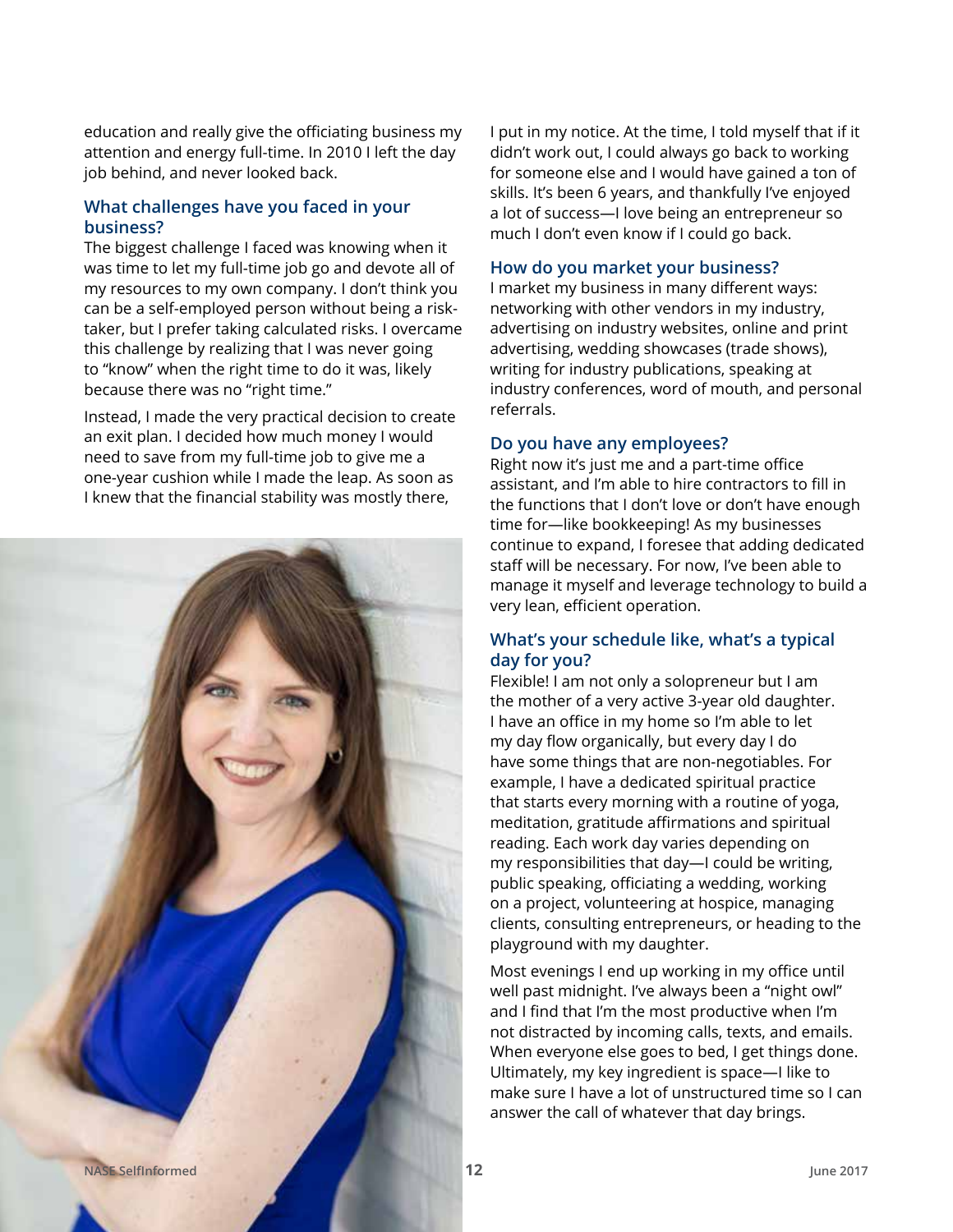education and really give the officiating business my attention and energy full-time. In 2010 I left the day job behind, and never looked back.

#### **What challenges have you faced in your business?**

The biggest challenge I faced was knowing when it was time to let my full-time job go and devote all of my resources to my own company. I don't think you can be a self-employed person without being a risktaker, but I prefer taking calculated risks. I overcame this challenge by realizing that I was never going to "know" when the right time to do it was, likely because there was no "right time."

Instead, I made the very practical decision to create an exit plan. I decided how much money I would need to save from my full-time job to give me a one-year cushion while I made the leap. As soon as I knew that the financial stability was mostly there,

I put in my notice. At the time, I told myself that if it didn't work out, I could always go back to working for someone else and I would have gained a ton of skills. It's been 6 years, and thankfully I've enjoyed a lot of success—I love being an entrepreneur so much I don't even know if I could go back.

### **How do you market your business?**

I market my business in many different ways: networking with other vendors in my industry, advertising on industry websites, online and print advertising, wedding showcases (trade shows), writing for industry publications, speaking at industry conferences, word of mouth, and personal referrals.

#### **Do you have any employees?**

Right now it's just me and a part-time office assistant, and I'm able to hire contractors to fill in the functions that I don't love or don't have enough time for—like bookkeeping! As my businesses continue to expand, I foresee that adding dedicated staff will be necessary. For now, I've been able to manage it myself and leverage technology to build a very lean, efficient operation.

#### **What's your schedule like, what's a typical day for you?**

Flexible! I am not only a solopreneur but I am the mother of a very active 3-year old daughter. I have an office in my home so I'm able to let my day flow organically, but every day I do have some things that are non-negotiables. For example, I have a dedicated spiritual practice that starts every morning with a routine of yoga, meditation, gratitude affirmations and spiritual reading. Each work day varies depending on my responsibilities that day—I could be writing, public speaking, officiating a wedding, working on a project, volunteering at hospice, managing clients, consulting entrepreneurs, or heading to the playground with my daughter.

Most evenings I end up working in my office until well past midnight. I've always been a "night owl" and I find that I'm the most productive when I'm not distracted by incoming calls, texts, and emails. When everyone else goes to bed, I get things done. Ultimately, my key ingredient is space—I like to make sure I have a lot of unstructured time so I can answer the call of whatever that day brings.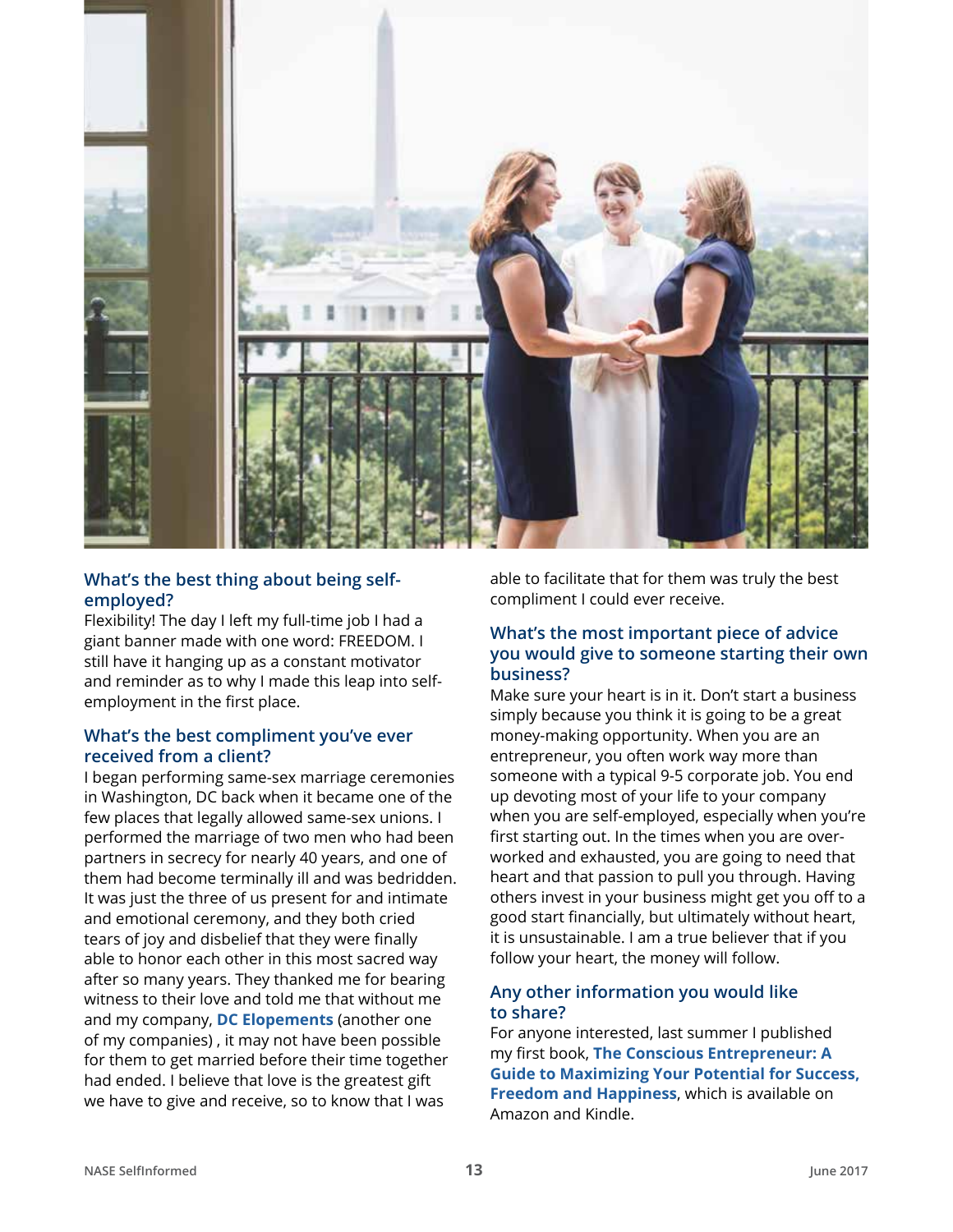

#### **What's the best thing about being selfemployed?**

Flexibility! The day I left my full-time job I had a giant banner made with one word: FREEDOM. I still have it hanging up as a constant motivator and reminder as to why I made this leap into selfemployment in the first place.

#### **What's the best compliment you've ever received from a client?**

I began performing same-sex marriage ceremonies in Washington, DC back when it became one of the few places that legally allowed same-sex unions. I performed the marriage of two men who had been partners in secrecy for nearly 40 years, and one of them had become terminally ill and was bedridden. It was just the three of us present for and intimate and emotional ceremony, and they both cried tears of joy and disbelief that they were finally able to honor each other in this most sacred way after so many years. They thanked me for bearing witness to their love and told me that without me and my company, **[DC Elopements](http://dcelopements.com/)** (another one of my companies) , it may not have been possible for them to get married before their time together had ended. I believe that love is the greatest gift we have to give and receive, so to know that I was

able to facilitate that for them was truly the best compliment I could ever receive.

### **What's the most important piece of advice you would give to someone starting their own business?**

Make sure your heart is in it. Don't start a business simply because you think it is going to be a great money-making opportunity. When you are an entrepreneur, you often work way more than someone with a typical 9-5 corporate job. You end up devoting most of your life to your company when you are self-employed, especially when you're first starting out. In the times when you are overworked and exhausted, you are going to need that heart and that passion to pull you through. Having others invest in your business might get you off to a good start financially, but ultimately without heart, it is unsustainable. I am a true believer that if you follow your heart, the money will follow.

### **Any other information you would like to share?**

For anyone interested, last summer I published my first book, **[The Conscious Entrepreneur: A](http://consciousentrepreneurbook.com/)  [Guide to Maximizing Your Potential for Success,](http://consciousentrepreneurbook.com/)  [Freedom and Happiness](http://consciousentrepreneurbook.com/)**, which is available on Amazon and Kindle.